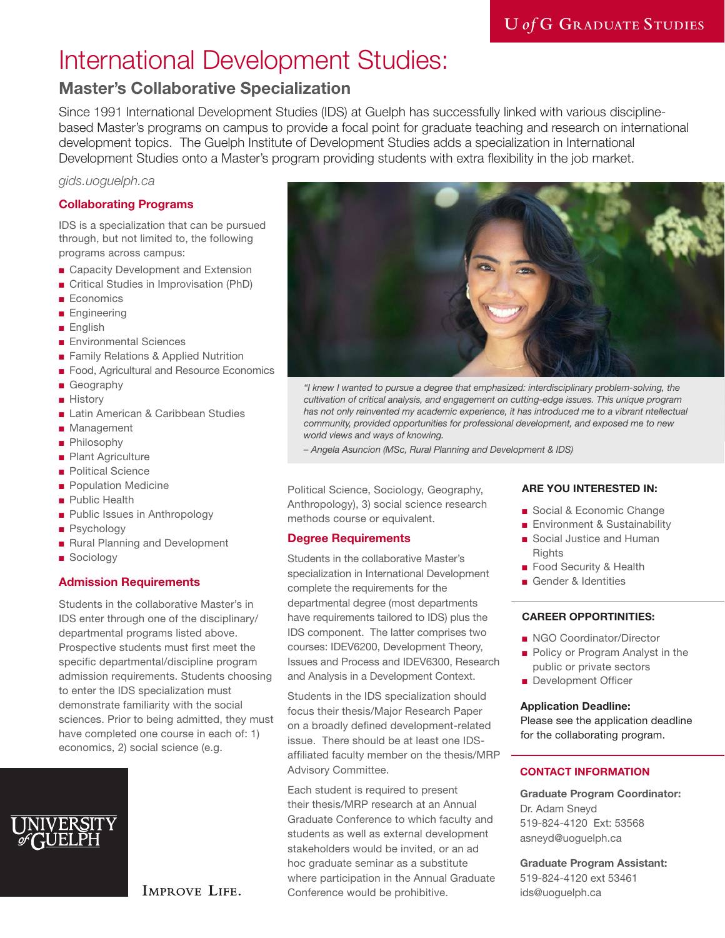# International Development Studies:

# **Master's Collaborative Specialization**

Since 1991 International Development Studies (IDS) at Guelph has successfully linked with various disciplinebased Master's programs on campus to provide a focal point for graduate teaching and research on international development topics. The Guelph Institute of Development Studies adds a specialization in International Development Studies onto a Master's program providing students with extra flexibility in the job market.

*[gids.uoguelph.ca](https://gids.uoguelph.ca)*

# **Collaborating Programs**

IDS is a specialization that can be pursued through, but not limited to, the following programs across campus:

- Capacity Development and Extension
- Critical Studies in Improvisation (PhD)
- Economics
- Engineering
- English
- Environmental Sciences
- Family Relations & Applied Nutrition
- Food, Agricultural and Resource Economics
- Geography
- History
- Latin American & Caribbean Studies
- Management
- Philosophy
- Plant Agriculture
- Political Science
- Population Medicine
- Public Health
- Public Issues in Anthropology
- Psychology
- Rural Planning and Development
- Sociology

# **Admission Requirements**

Students in the collaborative Master's in IDS enter through one of the disciplinary/ departmental programs listed above. Prospective students must first meet the specific departmental/discipline program admission requirements. Students choosing to enter the IDS specialization must demonstrate familiarity with the social sciences. Prior to being admitted, they must have completed one course in each of: 1) economics, 2) social science (e.g.



**IMPROVE LIFE.** 



*"I knew I wanted to pursue a degree that emphasized: interdisciplinary problem-solving, the cultivation of critical analysis, and engagement on cutting-edge issues. This unique program has not only reinvented my academic experience, it has introduced me to a vibrant ntellectual community, provided opportunities for professional development, and exposed me to new world views and ways of knowing.* 

*– Angela Asuncion (MSc, Rural Planning and Development & IDS)*

Political Science, Sociology, Geography, Anthropology), 3) social science research methods course or equivalent.

## **Degree Requirements**

Students in the collaborative Master's specialization in International Development complete the requirements for the departmental degree (most departments have requirements tailored to IDS) plus the IDS component. The latter comprises two courses: IDEV6200, Development Theory, Issues and Process and IDEV6300, Research and Analysis in a Development Context.

Students in the IDS specialization should focus their thesis/Major Research Paper on a broadly defined development-related issue. There should be at least one IDSaffiliated faculty member on the thesis/MRP Advisory Committee.

Each student is required to present their thesis/MRP research at an Annual Graduate Conference to which faculty and students as well as external development stakeholders would be invited, or an ad hoc graduate seminar as a substitute where participation in the Annual Graduate Conference would be prohibitive.

## **ARE YOU INTERESTED IN:**

- Social & Economic Change
- Environment & Sustainability ■ Social Justice and Human
- **Rights** ■ Food Security & Health
- Gender & Identities

## **CAREER OPPORTINITIES:**

- NGO Coordinator/Director
- Policy or Program Analyst in the public or private sectors
- Development Officer

### **Application Deadline:**

Please see the application deadline for the collaborating program.

# **CONTACT INFORMATION**

**Graduate Program Coordinator:**  Dr. Adam Sneyd 519-824-4120 Ext: 53568 asneyd@uoguelph.ca

**Graduate Program Assistant:**  519-824-4120 ext 53461 ids@uoguelph.ca